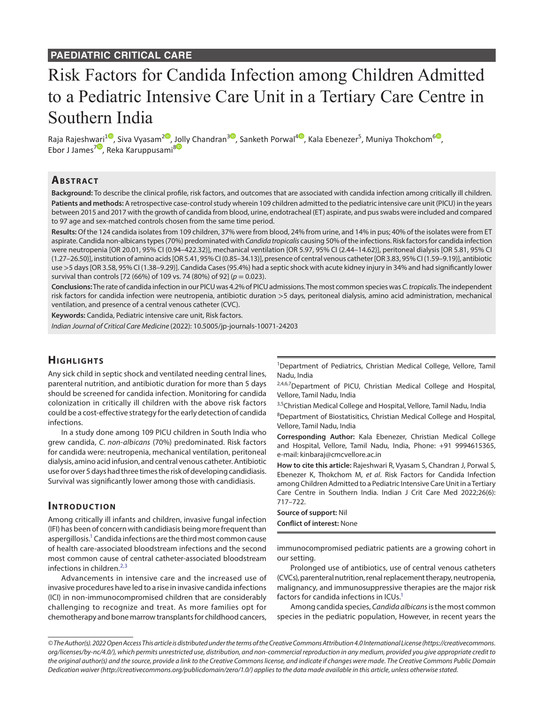# Risk Factors for Candida Infection among Children Admitted to a Pediatric Intensive Care Unit in a Tertiary Care Centre in Southern India

Raja Rajesh[wari](https://orcid.org/0000-0001-6302-6572)<sup>10</sup>[,](https://orcid.org/0000-0003-3932-9025) Siva Vyasam<sup>20</sup>, [Jol](https://orcid.org/0000-0001-9913-2713)ly Chandran<sup>[3](https://orcid.org/0000-0003-0021-8897)0</sup>, Sanketh Porwal<sup>[4](https://orcid.org/0000-0003-2841-0055)0</sup>, Kala Ebenezer<sup>5</sup>, Muniya Thokchom<sup>60</sup>, Ebor J James<sup>7</sup>, Reka Karuppusami<sup>8</sup>

## **ABSTRACT**

**Background:** To describe the clinical profile, risk factors, and outcomes that are associated with candida infection among critically ill children. **Patients and methods:** A retrospective case-control study wherein 109 children admitted to the pediatric intensive care unit (PICU) in the years between 2015 and 2017 with the growth of candida from blood, urine, endotracheal (ET) aspirate, and pus swabs were included and compared to 97 age and sex-matched controls chosen from the same time period.

**Results:** Of the 124 candida isolates from 109 children, 37% were from blood, 24% from urine, and 14% in pus; 40% of the isolates were from ET aspirate. Candida non-albicans types (70%) predominated with *Candida tropicalis* causing 50% of the infections. Risk factors for candida infection were neutropenia [OR 20.01, 95% CI (0.94–422.32)], mechanical ventilation [OR 5.97, 95% CI (2.44–14.62)], peritoneal dialysis [OR 5.81, 95% CI (1.27–26.50)], institution of amino acids [OR 5.41, 95% CI (0.85–34.13)], presence of central venous catheter [OR 3.83, 95% CI (1.59–9.19)], antibiotic use >5 days [OR 3.58, 95% CI (1.38–9.29)]. Candida Cases (95.4%) had a septic shock with acute kidney injury in 34% and had significantly lower survival than controls [72 (66%) of 109 vs. 74 (80%) of 92] (*p* = 0.023).

**Conclusions:** The rate of candida infection in our PICU was 4.2% of PICU admissions. The most common species was *C. tropicalis*. The independent risk factors for candida infection were neutropenia, antibiotic duration >5 days, peritoneal dialysis, amino acid administration, mechanical ventilation, and presence of a central venous catheter (CVC).

**Keywords:** Candida, Pediatric intensive care unit, Risk factors.

*Indian Journal of Critical Care Medicine* (2022): 10.5005/jp-journals-10071-24203

# **HIGHLIGHTS**

Any sick child in septic shock and ventilated needing central lines, parenteral nutrition, and antibiotic duration for more than 5 days should be screened for candida infection. Monitoring for candida colonization in critically ill children with the above risk factors could be a cost-effective strategy for the early detection of candida infections.

In a study done among 109 PICU children in South India who grew candida, *C. non-albicans* (70%) predominated. Risk factors for candida were: neutropenia, mechanical ventilation, peritoneal dialysis, amino acid infusion, and central venous catheter. Antibiotic use for over 5 days had three times the risk of developing candidiasis. Survival was significantly lower among those with candidiasis.

#### **INTRODUCTION**

Among critically ill infants and children, invasive fungal infection (IFI) has been of concern with candidiasis being more frequent than aspergillosis.<sup>1</sup> Candida infections are the third most common cause of health care-associated bloodstream infections and the second most common cause of central catheter-associated bloodstream infections in children. $2,3$  $2,3$ 

Advancements in intensive care and the increased use of invasive procedures have led to a rise in invasive candida infections (ICI) in non-immunocompromised children that are considerably challenging to recognize and treat. As more families opt for chemotherapy and bone marrow transplants for childhood cancers,

<sup>1</sup>Department of Pediatrics, Christian Medical College, Vellore, Tamil Nadu, India

2,4,6,7 Department of PICU, Christian Medical College and Hospital, Vellore, Tamil Nadu, India

3,5Christian Medical College and Hospital, Vellore, Tamil Nadu, India

<sup>8</sup>Department of Biostatisitics, Christian Medical College and Hospital, Vellore, Tamil Nadu, India

**Corresponding Author:** Kala Ebenezer, Christian Medical College and Hospital, Vellore, Tamil Nadu, India, Phone: +91 9994615365, e-mail: kinbaraj@cmcvellore.ac.in

**How to cite this article:** Rajeshwari R, Vyasam S, Chandran J, Porwal S, Ebenezer K, Thokchom M, *et al*. Risk Factors for Candida Infection among Children Admitted to a Pediatric Intensive Care Unit in a Tertiary Care Centre in Southern India. Indian J Crit Care Med 2022;26(6): 717–722.

**Source of support:** Nil **Conflict of interest:** None

immunocompromised pediatric patients are a growing cohort in our setting.

Prolonged use of antibiotics, use of central venous catheters (CVCs), parenteral nutrition, renal replacement therapy, neutropenia, malignancy, and immunosuppressive therapies are the major risk factors for candida infections in ICUs.<sup>1</sup>

Among candida species, *Candida albicans* is the most common species in the pediatric population, However, in recent years the

*<sup>©</sup> The Author(s). 2022 Open Access This article is distributed under the terms of the Creative Commons Attribution 4.0 International License ([https://creativecommons.](https://creativecommons.org/licenses/by-nc/4.0/) [org/licenses/by-nc/4.0/](https://creativecommons.org/licenses/by-nc/4.0/)), which permits unrestricted use, distribution, and non-commercial reproduction in any medium, provided you give appropriate credit to the original author(s) and the source, provide a link to the Creative Commons license, and indicate if changes were made. The Creative Commons Public Domain Dedication waiver ([http://creativecommons.org/publicdomain/zero/1.0/\)](http://creativecommons.org/publicdomain/zero/1.0/) applies to the data made available in this article, unless otherwise stated.*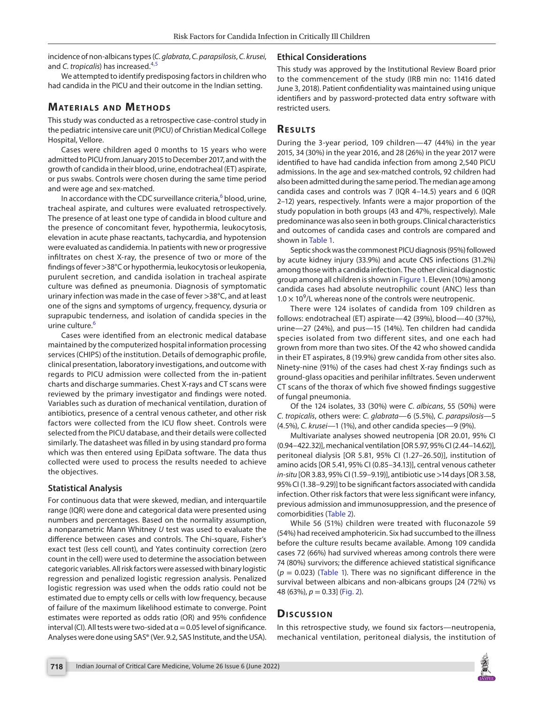incidence of non-albicans types (*C. glabrata*, *C. parapsilosis*, *C. krusei*, and *C. tropicalis*) has increased.[4](#page-4-3),[5](#page-4-4)

We attempted to identify predisposing factors in children who had candida in the PICU and their outcome in the Indian setting.

## **MATERIALS AND METHODS**

This study was conducted as a retrospective case-control study in the pediatric intensive care unit (PICU) of Christian Medical College Hospital, Vellore.

Cases were children aged 0 months to 15 years who were admitted to PICU from January 2015 to December 2017, and with the growth of candida in their blood, urine, endotracheal (ET) aspirate, or pus swabs. Controls were chosen during the same time period and were age and sex-matched.

In accordance with the CDC surveillance criteria,<sup>[6](#page-4-5)</sup> blood, urine, tracheal aspirate, and cultures were evaluated retrospectively. The presence of at least one type of candida in blood culture and the presence of concomitant fever, hypothermia, leukocytosis, elevation in acute phase reactants, tachycardia, and hypotension were evaluated as candidemia. In patients with new or progressive infiltrates on chest X-ray, the presence of two or more of the findings of fever >38°C or hypothermia, leukocytosis or leukopenia, purulent secretion, and candida isolation in tracheal aspirate culture was defined as pneumonia. Diagnosis of symptomatic urinary infection was made in the case of fever >38°C, and at least one of the signs and symptoms of urgency, frequency, dysuria or suprapubic tenderness, and isolation of candida species in the urine culture.<sup>[6](#page-4-5)</sup>

Cases were identified from an electronic medical database maintained by the computerized hospital information processing services (CHIPS) of the institution. Details of demographic profile, clinical presentation, laboratory investigations, and outcome with regards to PICU admission were collected from the in-patient charts and discharge summaries. Chest X-rays and CT scans were reviewed by the primary investigator and findings were noted. Variables such as duration of mechanical ventilation, duration of antibiotics, presence of a central venous catheter, and other risk factors were collected from the ICU flow sheet. Controls were selected from the PICU database, and their details were collected similarly. The datasheet was filled in by using standard pro forma which was then entered using EpiData software. The data thus collected were used to process the results needed to achieve the objectives.

#### **Statistical Analysis**

For continuous data that were skewed, median, and interquartile range (IQR) were done and categorical data were presented using numbers and percentages. Based on the normality assumption, a nonparametric Mann Whitney *U* test was used to evaluate the difference between cases and controls. The Chi-square, Fisher's exact test (less cell count), and Yates continuity correction (zero count in the cell) were used to determine the association between categoric variables. All risk factors were assessed with binary logistic regression and penalized logistic regression analysis. Penalized logistic regression was used when the odds ratio could not be estimated due to empty cells or cells with low frequency, because of failure of the maximum likelihood estimate to converge. Point estimates were reported as odds ratio (OR) and 95% confidence interval (CI). All tests were two-sided at  $\alpha$  = 0.05 level of significance. Analyses were done using SAS® (Ver. 9.2, SAS Institute, and the USA).

#### **Ethical Considerations**

This study was approved by the Institutional Review Board prior to the commencement of the study (IRB min no: 11416 dated June 3, 2018). Patient confidentiality was maintained using unique identifiers and by password-protected data entry software with restricted users.

### **RESULTS**

During the 3-year period, 109 children—47 (44%) in the year 2015, 34 (30%) in the year 2016, and 28 (26%) in the year 2017 were identified to have had candida infection from among 2,540 PICU admissions. In the age and sex-matched controls, 92 children had also been admitted during the same period. The median age among candida cases and controls was 7 (IQR 4–14.5) years and 6 (IQR 2–12) years, respectively. Infants were a major proportion of the study population in both groups (43 and 47%, respectively). Male predominance was also seen in both groups. Clinical characteristics and outcomes of candida cases and controls are compared and shown in [Table 1](#page-2-0).

Septic shock was the commonest PICU diagnosis (95%) followed by acute kidney injury (33.9%) and acute CNS infections (31.2%) among those with a candida infection. The other clinical diagnostic group among all children is shown in [Figure 1](#page-2-1). Eleven (10%) among candida cases had absolute neutrophilic count (ANC) less than  $1.0 \times 10^9$ /L whereas none of the controls were neutropenic.

There were 124 isolates of candida from 109 children as follows: endotracheal (ET) aspirate—42 (39%), blood—40 (37%), urine—27 (24%), and pus—15 (14%). Ten children had candida species isolated from two different sites, and one each had grown from more than two sites. Of the 42 who showed candida in their ET aspirates, 8 (19.9%) grew candida from other sites also. Ninety-nine (91%) of the cases had chest X-ray findings such as ground-glass opacities and perihilar infiltrates. Seven underwent CT scans of the thorax of which five showed findings suggestive of fungal pneumonia.

Of the 124 isolates, 33 (30%) were *C. albicans*, 55 (50%) were *C. tropicalis*, others were: *C. glabrata*—6 (5.5%), *C. parapsilosis*—5 (4.5%), *C. krusei*—1 (1%), and other candida species—9 (9%).

Multivariate analyses showed neutropenia [OR 20.01, 95% CI (0.94–422.32)], mechanical ventilation [OR 5.97, 95% CI (2.44–14.62)], peritoneal dialysis [OR 5.81, 95% CI (1.27–26.50)], institution of amino acids [OR 5.41, 95% CI (0.85–34.13)], central venous catheter *in-situ* [OR 3.83, 95% CI (1.59–9.19)], antibiotic use >14 days [OR 3.58, 95% CI (1.38–9.29)] to be significant factors associated with candida infection. Other risk factors that were less significant were infancy, previous admission and immunosuppression, and the presence of comorbidities ([Table 2\)](#page-3-0).

While 56 (51%) children were treated with fluconazole 59 (54%) had received amphotericin. Six had succumbed to the illness before the culture results became available. Among 109 candida cases 72 (66%) had survived whereas among controls there were 74 (80%) survivors; the difference achieved statistical significance  $(p = 0.023)$  [\(Table 1\)](#page-2-0). There was no significant difference in the survival between albicans and non-albicans groups [24 (72%) vs 48 (63%), *p* = 0.33] [\(Fig. 2\)](#page-3-1).

# **Discussion**

In this retrospective study, we found six factors—neutropenia, mechanical ventilation, peritoneal dialysis, the institution of

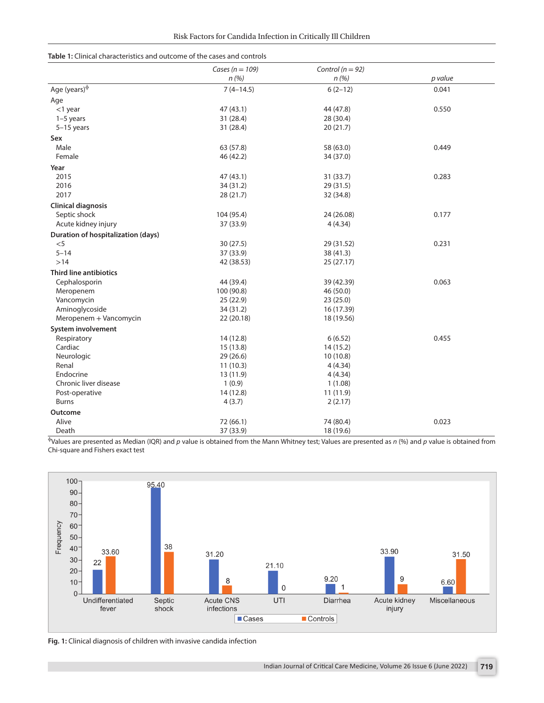| Risk Factors for Candida Infection in Critically Ill Children |  |
|---------------------------------------------------------------|--|
|---------------------------------------------------------------|--|

<span id="page-2-0"></span>

| <b>Table 1:</b> Clinical characteristics and outcome of the cases and controls |  |
|--------------------------------------------------------------------------------|--|
|--------------------------------------------------------------------------------|--|

|                                           | Cases ( $n = 109$ ) | Control ( $n = 92$ ) |         |
|-------------------------------------------|---------------------|----------------------|---------|
|                                           | n(%)                | n(%)                 | p value |
| Age (years) $\Phi$                        | $7(4-14.5)$         | $6(2-12)$            | 0.041   |
| Age                                       |                     |                      |         |
| $<$ 1 year                                | 47(43.1)            | 44 (47.8)            | 0.550   |
| $1-5$ years                               | 31 (28.4)           | 28 (30.4)            |         |
| $5-15$ years                              | 31 (28.4)           | 20 (21.7)            |         |
| Sex                                       |                     |                      |         |
| Male                                      | 63 (57.8)           | 58 (63.0)            | 0.449   |
| Female                                    | 46 (42.2)           | 34 (37.0)            |         |
| Year                                      |                     |                      |         |
| 2015                                      | 47 (43.1)           | 31 (33.7)            | 0.283   |
| 2016                                      | 34 (31.2)           | 29 (31.5)            |         |
| 2017                                      | 28 (21.7)           | 32 (34.8)            |         |
| <b>Clinical diagnosis</b>                 |                     |                      |         |
| Septic shock                              | 104 (95.4)          | 24 (26.08)           | 0.177   |
| Acute kidney injury                       | 37 (33.9)           | 4(4.34)              |         |
| <b>Duration of hospitalization (days)</b> |                     |                      |         |
| $< 5$                                     | 30(27.5)            | 29 (31.52)           | 0.231   |
| $5 - 14$                                  | 37 (33.9)           | 38 (41.3)            |         |
| $>14$                                     | 42 (38.53)          | 25 (27.17)           |         |
| <b>Third line antibiotics</b>             |                     |                      |         |
| Cephalosporin                             | 44 (39.4)           | 39 (42.39)           | 0.063   |
| Meropenem                                 | 100 (90.8)          | 46 (50.0)            |         |
| Vancomycin                                | 25(22.9)            | 23(25.0)             |         |
| Aminoglycoside                            | 34 (31.2)           | 16 (17.39)           |         |
| Meropenem + Vancomycin                    | 22 (20.18)          | 18 (19.56)           |         |
| System involvement                        |                     |                      |         |
| Respiratory                               | 14 (12.8)           | 6(6.52)              | 0.455   |
| Cardiac                                   | 15(13.8)            | 14(15.2)             |         |
| Neurologic                                | 29 (26.6)           | 10(10.8)             |         |
| Renal                                     | 11(10.3)            | 4(4.34)              |         |
| Endocrine                                 | 13 (11.9)           | 4(4.34)              |         |
| Chronic liver disease                     | 1(0.9)              | 1(1.08)              |         |
| Post-operative                            | 14(12.8)            | 11(11.9)             |         |
| <b>Burns</b>                              | 4(3.7)              | 2(2.17)              |         |
| Outcome                                   |                     |                      |         |
| Alive                                     | 72 (66.1)           | 74 (80.4)            | 0.023   |
| Death                                     | 37 (33.9)           | 18 (19.6)            |         |

<sup>ɸ</sup>Values are presented as Median (IQR) and *p* value is obtained from the Mann Whitney test; Values are presented as *n* (%) and *p* value is obtained from Chi-square and Fishers exact test



<span id="page-2-1"></span>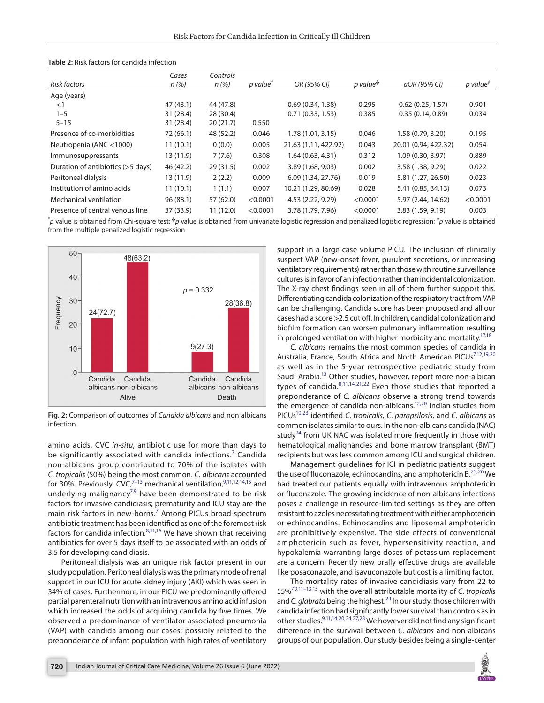| Risk factors                      | Cases<br>n(%) | Controls<br>n(%) | p value <sup>*</sup> | OR (95% CI)          | p value <sup><math>\Phi</math></sup> | aOR (95% CI)         | $p$ value <sup><math>\ddag</math></sup> |
|-----------------------------------|---------------|------------------|----------------------|----------------------|--------------------------------------|----------------------|-----------------------------------------|
| Age (years)                       |               |                  |                      |                      |                                      |                      |                                         |
| $<$ 1                             | 47(43.1)      | 44 (47.8)        |                      | 0.69(0.34, 1.38)     | 0.295                                | 0.62(0.25, 1.57)     | 0.901                                   |
| $1 - 5$                           | 31 (28.4)     | 28(30.4)         |                      | 0.71(0.33, 1.53)     | 0.385                                | 0.35(0.14, 0.89)     | 0.034                                   |
| $5 - 15$                          | 31 (28.4)     | 20(21.7)         | 0.550                |                      |                                      |                      |                                         |
| Presence of co-morbidities        | 72 (66.1)     | 48 (52.2)        | 0.046                | 1.78 (1.01, 3.15)    | 0.046                                | 1.58 (0.79, 3.20)    | 0.195                                   |
| Neutropenia (ANC $<$ 1000)        | 11(10.1)      | 0(0.0)           | 0.005                | 21.63 (1.11, 422.92) | 0.043                                | 20.01 (0.94, 422.32) | 0.054                                   |
| Immunosuppressants                | 13 (11.9)     | 7(7.6)           | 0.308                | 1.64(0.63, 4.31)     | 0.312                                | 1.09(0.30, 3.97)     | 0.889                                   |
| Duration of antibiotics (>5 days) | 46 (42.2)     | 29(31.5)         | 0.002                | 3.89 (1.68, 9.03)    | 0.002                                | 3.58 (1.38, 9.29)    | 0.022                                   |
| Peritoneal dialysis               | 13 (11.9)     | 2(2.2)           | 0.009                | 6.09 (1.34, 27.76)   | 0.019                                | 5.81 (1.27, 26.50)   | 0.023                                   |
| Institution of amino acids        | 11(10.1)      | 1(1.1)           | 0.007                | 10.21 (1.29, 80.69)  | 0.028                                | 5.41 (0.85, 34.13)   | 0.073                                   |
| Mechanical ventilation            | 96(88.1)      | 57 (62.0)        | < 0.0001             | 4.53 (2.22, 9.29)    | < 0.0001                             | 5.97 (2.44, 14.62)   | < 0.0001                                |
| Presence of central venous line   | 37 (33.9)     | 11(12.0)         | < 0.0001             | 3.78 (1.79, 7.96)    | < 0.0001                             | 3.83 (1.59, 9.19)    | 0.003                                   |

<span id="page-3-0"></span>

| <b>Table 2:</b> Risk factors for candida infection |  |  |  |  |  |  |  |
|----------------------------------------------------|--|--|--|--|--|--|--|
|----------------------------------------------------|--|--|--|--|--|--|--|

\* *p* value is obtained from Chi-square test; ɸ*p* value is obtained from univariate logistic regression and penalized logistic regression; ‡ *p* value is obtained from the multiple penalized logistic regression



<span id="page-3-1"></span>**Fig. 2:** Comparison of outcomes of *Candida albicans* and non albicans infection

amino acids, CVC *in-situ*, antibiotic use for more than days to be significantly associated with candida infections.<sup>[7](#page-4-6)</sup> Candida non-albicans group contributed to 70% of the isolates with *C. tropicalis* (50%) being the most common. *C. albicans* accounted for 30%. Previously, CVC, $7-13$  mechanical ventilation, $9,11,12,14,15$  $9,11,12,14,15$  $9,11,12,14,15$  $9,11,12,14,15$  $9,11,12,14,15$  and underlying malignancy<sup>7,[9](#page-4-8)</sup> have been demonstrated to be risk factors for invasive candidiasis; prematurity and ICU stay are the main risk factors in new-borns.<sup>[7](#page-4-6)</sup> Among PICUs broad-spectrum antibiotic treatment has been identified as one of the foremost risk factors for candida infection. $8,11,16$  $8,11,16$  $8,11,16$  We have shown that receiving antibiotics for over 5 days itself to be associated with an odds of 3.5 for developing candidiasis.

Peritoneal dialysis was an unique risk factor present in our study population. Peritoneal dialysis was the primary mode of renal support in our ICU for acute kidney injury (AKI) which was seen in 34% of cases. Furthermore, in our PICU we predominantly offered partial parenteral nutrition with an intravenous amino acid infusion which increased the odds of acquiring candida by five times. We observed a predominance of ventilator-associated pneumonia (VAP) with candida among our cases; possibly related to the preponderance of infant population with high rates of ventilatory support in a large case volume PICU. The inclusion of clinically suspect VAP (new-onset fever, purulent secretions, or increasing ventilatory requirements) rather than those with routine surveillance cultures is in favor of an infection rather than incidental colonization. The X-ray chest findings seen in all of them further support this. Differentiating candida colonization of the respiratory tract from VAP can be challenging. Candida score has been proposed and all our cases had a score >2.5 cut off. In children, candidal colonization and biofilm formation can worsen pulmonary inflammation resulting in prolonged ventilation with higher morbidity and mortality.<sup>17[,18](#page-4-16)</sup>

*C. albicans* remains the most common species of candida in Australia, France, South Africa and North American PICUs<sup>7,[12,](#page-4-10)[19](#page-4-17)[,20](#page-4-18)</sup> as well as in the 5-year retrospective pediatric study from Saudi Arabia.<sup>13</sup> Other studies, however, report more non-albican types of candida. $8,11,14,21,22$  $8,11,14,21,22$  $8,11,14,21,22$  $8,11,14,21,22$  $8,11,14,21,22$  Even those studies that reported a preponderance of *C. albicans* observe a strong trend towards the emergence of candida non-albicans.<sup>12,20</sup> Indian studies from PICU[s10](#page-4-21),[23](#page-4-22) identified *C. tropicalis, C. parapsilosis*, and *C. albicans* as common isolates similar to ours. In the non-albicans candida (NAC) study $^{24}$  from UK NAC was isolated more frequently in those with hematological malignancies and bone marrow transplant (BMT) recipients but was less common among ICU and surgical children.

Management guidelines for ICI in pediatric patients suggest the use of fluconazole, echinocandins, and amphotericin B.<sup>[25,](#page-4-24)26</sup> We had treated our patients equally with intravenous amphotericin or fluconazole. The growing incidence of non-albicans infections poses a challenge in resource-limited settings as they are often resistant to azoles necessitating treatment with either amphotericin or echinocandins. Echinocandins and liposomal amphotericin are prohibitively expensive. The side effects of conventional amphotericin such as fever, hypersensitivity reaction, and hypokalemia warranting large doses of potassium replacement are a concern. Recently new orally effective drugs are available like posaconazole, and isavuconazole but cost is a limiting factor.

The mortality rates of invasive candidiasis vary from 22 to 55%[7](#page-4-6),[9,](#page-4-8)[11–](#page-4-9)[13,](#page-4-7)[15](#page-4-12) with the overall attributable mortality of *C. tropicalis* and *C. glabrata* being the highest.<sup>24</sup> In our study, those children with candida infection had significantly lower survival than controls as in other studies.[9,](#page-4-8)[11](#page-4-9),[14,](#page-4-11)[20,](#page-4-18)[24,](#page-4-23)[27](#page-5-1),[28](#page-5-2) We however did not find any significant difference in the survival between *C. albicans* and non-albicans groups of our population. Our study besides being a single-center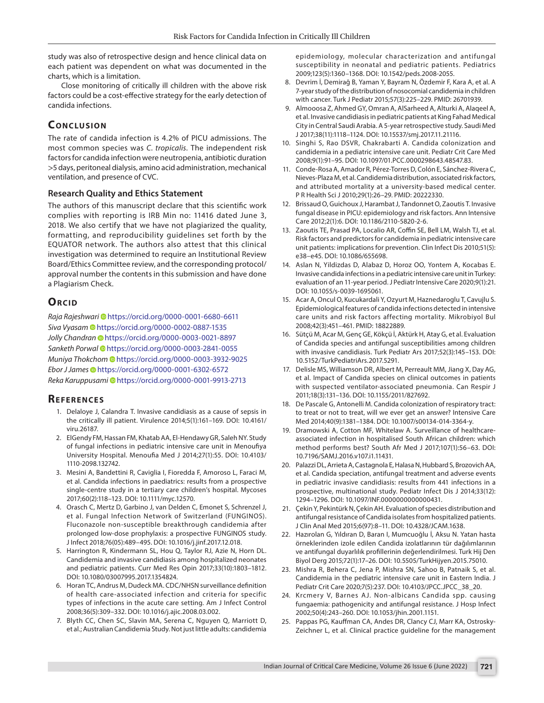study was also of retrospective design and hence clinical data on each patient was dependent on what was documented in the charts, which is a limitation.

Close monitoring of critically ill children with the above risk factors could be a cost-effective strategy for the early detection of candida infections.

## **CONCLUSION**

The rate of candida infection is 4.2% of PICU admissions. The most common species was *C. tropicalis*. The independent risk factors for candida infection were neutropenia, antibiotic duration >5 days, peritoneal dialysis, amino acid administration, mechanical ventilation, and presence of CVC.

#### **Research Quality and Ethics Statement**

The authors of this manuscript declare that this scientific work complies with reporting is IRB Min no: 11416 dated June 3, 2018. We also certify that we have not plagiarized the quality, formatting, and reproducibility guidelines set forth by the EQUATOR network. The authors also attest that this clinical investigation was determined to require an Institutional Review Board/Ethics Committee review, and the corresponding protocol/ approval number the contents in this submission and have done a Plagiarism Check.

### **ORCID**

*Raja Rajeshwari* [h](https://orcid.org/0000-0001-6680-6611)ttps://orcid.org/0000-0001-6680-6611 *Siva Vyasa[m](https://orcid.org/0000-0002-0887-1535)* https://orcid.org/0000-0002-0887-1535 *Jolly Chandra[n](https://orcid.org/0000-0003-0021-8897)* https://orcid.org/0000-0003-0021-8897 *Sanketh Porwal* [h](https://orcid.org/0000-0003-2841-0055)ttps://orcid.org/0000-0003-2841-0055 *Muniya Thokchom* [h](https://orcid.org/0000-0003-3932-9025)ttps://orcid.org/0000-0003-3932-9025 *Ebor J James* [h](https://orcid.org/0000-0001-6302-6572)ttps://orcid.org/0000-0001-6302-6572 *Reka Karuppusami* [h](https://orcid.org/0000-0001-9913-2713)ttps://orcid.org/0000-0001-9913-2713

#### **REFERENCES**

- <span id="page-4-0"></span>1. Delaloye J, Calandra T. Invasive candidiasis as a cause of sepsis in the critically ill patient. Virulence 2014;5(1):161–169. DOI: 10.4161/ viru.26187.
- <span id="page-4-1"></span>2. ElGendy FM, Hassan FM, Khatab AA, El-Hendawy GR, Saleh NY. Study of fungal infections in pediatric intensive care unit in Menoufiya University Hospital. Menoufia Med J 2014;27(1):55. DOI: 10.4103/ 1110-2098.132742.
- <span id="page-4-2"></span>3. Mesini A, Bandettini R, Caviglia I, Fioredda F, Amoroso L, Faraci M, et al. Candida infections in paediatrics: results from a prospective single-centre study in a tertiary care children's hospital. Mycoses 2017;60(2):118–123. DOI: 10.1111/myc.12570.
- <span id="page-4-3"></span>4. Orasch C, Mertz D, Garbino J, van Delden C, Emonet S, Schrenzel J, et al. Fungal Infection Network of Switzerland (FUNGINOS). Fluconazole non-susceptible breakthrough candidemia after prolonged low-dose prophylaxis: a prospective FUNGINOS study. J Infect 2018;76(05):489–495. DOI: 10.1016/j.jinf.2017.12.018.
- <span id="page-4-4"></span>5. Harrington R, Kindermann SL, Hou Q, Taylor RJ, Azie N, Horn DL. Candidemia and invasive candidiasis among hospitalized neonates and pediatric patients. Curr Med Res Opin 2017;33(10):1803–1812. DOI: 10.1080/03007995.2017.1354824.
- <span id="page-4-5"></span>6. Horan TC, Andrus M, Dudeck MA. CDC/NHSN surveillance definition of health care-associated infection and criteria for specific types of infections in the acute care setting. Am J Infect Control 2008;36(5):309–332. DOI: 10.1016/j.ajic.2008.03.002.
- <span id="page-4-6"></span>7. Blyth CC, Chen SC, Slavin MA, Serena C, Nguyen Q, Marriott D, et al.; Australian Candidemia Study. Not just little adults: candidemia

epidemiology, molecular characterization and antifungal susceptibility in neonatal and pediatric patients. Pediatrics 2009;123(5):1360–1368. DOI: 10.1542/peds.2008-2055.

- <span id="page-4-13"></span>8. Devrim İ, Demirağ B, Yaman Y, Bayram N, Özdemir F, Kara A, et al. A 7-year study of the distribution of nosocomial candidemia in children with cancer. Turk J Pediatr 2015;57(3):225–229. PMID: 26701939.
- <span id="page-4-8"></span>9. Almooosa Z, Ahmed GY, Omran A, AlSarheed A, Alturki A, Alaqeel A, et al. Invasive candidiasis in pediatric patients at King Fahad Medical City in Central Saudi Arabia. A 5-year retrospective study. Saudi Med J 2017;38(11):1118–1124. DOI: 10.15537/smj.2017.11.21116.
- <span id="page-4-21"></span>10. Singhi S, Rao DSVR, Chakrabarti A. Candida colonization and candidemia in a pediatric intensive care unit. Pediatr Crit Care Med 2008;9(1):91–95. DOI: 10.1097/01.PCC.0000298643.48547.83.
- <span id="page-4-9"></span>11. Conde-Rosa A, Amador R, Pérez-Torres D, Colón E, Sánchez-Rivera C, Nieves-Plaza M, et al. Candidemia distribution, associated risk factors, and attributed mortality at a university-based medical center. P R Health Sci J 2010;29(1):26–29. PMID: 20222330.
- <span id="page-4-10"></span>12. Brissaud O, Guichoux J, Harambat J, Tandonnet O, Zaoutis T. Invasive fungal disease in PICU: epidemiology and risk factors. Ann Intensive Care 2012;2(1):6. DOI: 10.1186/2110-5820-2-6.
- <span id="page-4-7"></span>13. Zaoutis TE, Prasad PA, Localio AR, Coffin SE, Bell LM, Walsh TJ, et al. Risk factors and predictors for candidemia in pediatric intensive care unit patients: implications for prevention. Clin Infect Dis 2010;51(5): e38–e45. DOI: 10.1086/655698.
- <span id="page-4-11"></span>14. Aslan N, Yildizdas D, Alabaz D, Horoz OO, Yontem A, Kocabas E. Invasive candida infections in a pediatric intensive care unit in Turkey: evaluation of an 11-year period. J Pediatr Intensive Care 2020;9(1):21. DOI: 10.1055/s-0039-1695061.
- <span id="page-4-12"></span>15. Acar A, Oncul O, Kucukardali Y, Ozyurt M, Haznedaroglu T, Cavujlu S. Epidemiological features of candida infections detected in intensive care units and risk factors affecting mortality. Mikrobiyol Bul 2008;42(3):451–461. PMID: 18822889.
- <span id="page-4-14"></span>16. Sütçü M, Acar M, Genç GE, Kökçü İ, Aktürk H, Atay G, et al. Evaluation of Candida species and antifungal susceptibilities among children with invasive candidiasis. Turk Pediatr Ars 2017;52(3):145–153. DOI: 10.5152/TurkPediatriArs.2017.5291.
- <span id="page-4-15"></span>17. Delisle MS, Williamson DR, Albert M, Perreault MM, Jiang X, Day AG, et al. Impact of Candida species on clinical outcomes in patients with suspected ventilator-associated pneumonia. Can Respir J 2011;18(3):131–136. DOI: 10.1155/2011/827692.
- <span id="page-4-16"></span>18. De Pascale G, Antonelli M. Candida colonization of respiratory tract: to treat or not to treat, will we ever get an answer? Intensive Care Med 2014;40(9):1381–1384. DOI: 10.1007/s00134-014-3364-y.
- <span id="page-4-17"></span>19. Dramowski A, Cotton MF, Whitelaw A. Surveillance of healthcareassociated infection in hospitalised South African children: which method performs best? South Afr Med J 2017;107(1):56–63. DOI: 10.7196/SAMJ.2016.v107.i1.11431.
- <span id="page-4-18"></span>20. Palazzi DL, Arrieta A, Castagnola E, Halasa N, Hubbard S, Brozovich AA, et al. Candida speciation, antifungal treatment and adverse events in pediatric invasive candidiasis: results from 441 infections in a prospective, multinational study. Pediatr Infect Dis J 2014;33(12): 1294–1296. DOI: 10.1097/INF.0000000000000431.
- <span id="page-4-19"></span>21. Çekin Y, Pekintürk N, Çekin AH. Evaluation of species distribution and antifungal resistance of Candida isolates from hospitalized patients. J Clin Anal Med 2015;6(97):8–11. DOI: 10.4328/JCAM.1638.
- <span id="page-4-20"></span>22. Hazırolan G, Yıldıran D, Baran I, Mumcuoğlu İ, Aksu N. Yatan hasta örneklerinden izole edilen Candida izolatlarının tür dağılımlarının ve antifungal duyarlılık profillerinin değerlendirilmesi. Turk Hij Den Biyol Derg 2015;72(1):17–26. DOI: 10.5505/TurkHijyen.2015.75010.
- <span id="page-4-22"></span>23. Mishra R, Behera C, Jena P, Mishra SN, Sahoo B, Patnaik S, et al. Candidemia in the pediatric intensive care unit in Eastern India. J Pediatr Crit Care 2020;7(5):237. DOI: 10.4103/JPCC.JPCC\_38\_20.
- <span id="page-4-23"></span>24. Krcmery V, Barnes AJ. Non-albicans Candida spp. causing fungaemia: pathogenicity and antifungal resistance. J Hosp Infect 2002;50(4):243–260. DOI: 10.1053/jhin.2001.1151.
- <span id="page-4-24"></span>25. Pappas PG, Kauffman CA, Andes DR, Clancy CJ, Marr KA, Ostrosky-Zeichner L, et al. Clinical practice guideline for the management